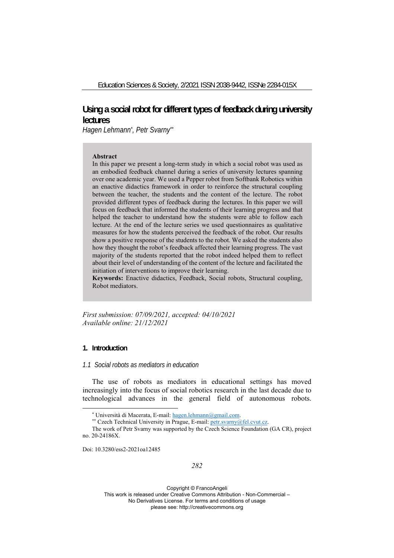# **Using a social robot for different types of feedback during university lectures**

*Hagen Lehmann\* , Petr Svarny\*\**

# **Abstract**

In this paper we present a long-term study in which a social robot was used as an embodied feedback channel during a series of university lectures spanning over one academic year. We used a Pepper robot from Softbank Robotics within an enactive didactics framework in order to reinforce the structural coupling between the teacher, the students and the content of the lecture. The robot provided different types of feedback during the lectures. In this paper we will focus on feedback that informed the students of their learning progress and that helped the teacher to understand how the students were able to follow each lecture. At the end of the lecture series we used questionnaires as qualitative measures for how the students perceived the feedback of the robot. Our results show a positive response of the students to the robot. We asked the students also how they thought the robot's feedback affected their learning progress. The vast majority of the students reported that the robot indeed helped them to reflect about their level of understanding of the content of the lecture and facilitated the initiation of interventions to improve their learning.

**Keywords:** Enactive didactics, Feedback, Social robots, Structural coupling, Robot mediators.

*First submission: 07/09/2021, accepted: 04/10/2021 Available online: 21/12/2021*

### **1. Introduction**

# *1.1 Social robots as mediators in education*

The use of robots as mediators in educational settings has moved increasingly into the focus of social robotics research in the last decade due to technological advances in the general field of autonomous robots.

Doi: 10.3280/ess2-2021oa12485

Copyright © FrancoAngeli This work is released under Creative Commons Attribution - Non-Commercial – No Derivatives License. For terms and conditions of usage

please see: http://creativecommons.org

<sup>\*</sup> Università di Macerata, E-mail: hagen.lehmann@gmail.com. \*\* Czech Technical University in Prague, E-mail: petr.svarny@fel.cvut.cz.

The work of Petr Svarny was supported by the Czech Science Foundation (GA CR), project no. 20-24186X.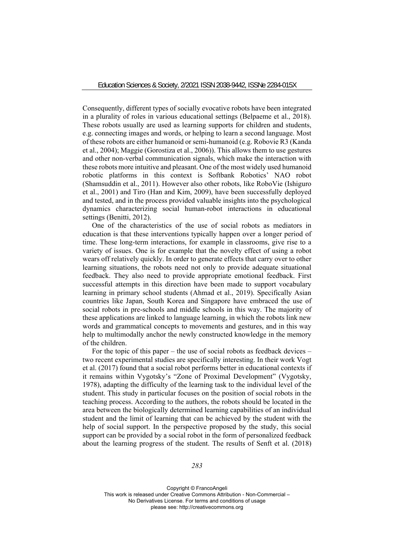Consequently, different types of socially evocative robots have been integrated in a plurality of roles in various educational settings (Belpaeme et al., 2018). These robots usually are used as learning supports for children and students, e.g. connecting images and words, or helping to learn a second language. Most of these robots are either humanoid or semi-humanoid (e.g. Robovie R3 (Kanda et al., 2004); Maggie (Gorostiza et al., 2006)). This allows them to use gestures and other non-verbal communication signals, which make the interaction with these robots more intuitive and pleasant. One of the most widely used humanoid robotic platforms in this context is Softbank Robotics' NAO robot (Shamsuddin et al., 2011). However also other robots, like RoboVie (Ishiguro et al., 2001) and Tiro (Han and Kim, 2009), have been successfully deployed and tested, and in the process provided valuable insights into the psychological dynamics characterizing social human-robot interactions in educational settings (Benitti, 2012).

One of the characteristics of the use of social robots as mediators in education is that these interventions typically happen over a longer period of time. These long-term interactions, for example in classrooms, give rise to a variety of issues. One is for example that the novelty effect of using a robot wears off relatively quickly. In order to generate effects that carry over to other learning situations, the robots need not only to provide adequate situational feedback. They also need to provide appropriate emotional feedback. First successful attempts in this direction have been made to support vocabulary learning in primary school students (Ahmad et al., 2019). Specifically Asian countries like Japan, South Korea and Singapore have embraced the use of social robots in pre-schools and middle schools in this way. The majority of these applications are linked to language learning, in which the robots link new words and grammatical concepts to movements and gestures, and in this way help to multimodally anchor the newly constructed knowledge in the memory of the children.

For the topic of this paper – the use of social robots as feedback devices – two recent experimental studies are specifically interesting. In their work Vogt et al. (2017) found that a social robot performs better in educational contexts if it remains within Vygotsky's "Zone of Proximal Development" (Vygotsky, 1978), adapting the difficulty of the learning task to the individual level of the student. This study in particular focuses on the position of social robots in the teaching process. According to the authors, the robots should be located in the area between the biologically determined learning capabilities of an individual student and the limit of learning that can be achieved by the student with the help of social support. In the perspective proposed by the study, this social support can be provided by a social robot in the form of personalized feedback about the learning progress of the student. The results of Senft et al. (2018)

*283*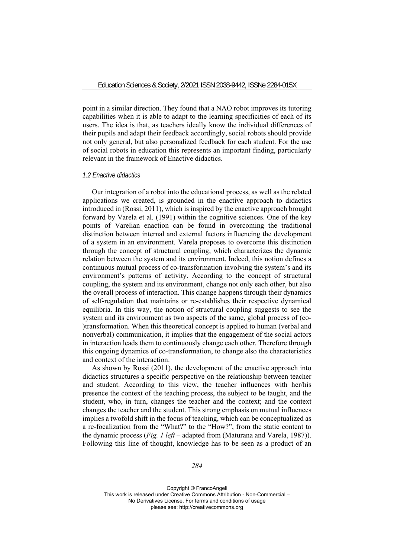point in a similar direction. They found that a NAO robot improves its tutoring capabilities when it is able to adapt to the learning specificities of each of its users. The idea is that, as teachers ideally know the individual differences of their pupils and adapt their feedback accordingly, social robots should provide not only general, but also personalized feedback for each student. For the use of social robots in education this represents an important finding, particularly relevant in the framework of Enactive didactics.

# *1.2 Enactive didactics*

Our integration of a robot into the educational process, as well as the related applications we created, is grounded in the enactive approach to didactics introduced in (Rossi, 2011), which is inspired by the enactive approach brought forward by Varela et al. (1991) within the cognitive sciences. One of the key points of Varelian enaction can be found in overcoming the traditional distinction between internal and external factors influencing the development of a system in an environment. Varela proposes to overcome this distinction through the concept of structural coupling, which characterizes the dynamic relation between the system and its environment. Indeed, this notion defines a continuous mutual process of co-transformation involving the system's and its environment's patterns of activity. According to the concept of structural coupling, the system and its environment, change not only each other, but also the overall process of interaction. This change happens through their dynamics of self-regulation that maintains or re-establishes their respective dynamical equilibria. In this way, the notion of structural coupling suggests to see the system and its environment as two aspects of the same, global process of (co- )transformation. When this theoretical concept is applied to human (verbal and nonverbal) communication, it implies that the engagement of the social actors in interaction leads them to continuously change each other. Therefore through this ongoing dynamics of co-transformation, to change also the characteristics and context of the interaction.

As shown by Rossi (2011), the development of the enactive approach into didactics structures a specific perspective on the relationship between teacher and student. According to this view, the teacher influences with her/his presence the context of the teaching process, the subject to be taught, and the student, who, in turn, changes the teacher and the context; and the context changes the teacher and the student. This strong emphasis on mutual influences implies a twofold shift in the focus of teaching, which can be conceptualized as a re-focalization from the "What?" to the "How?", from the static content to the dynamic process (*Fig. 1 left* – adapted from (Maturana and Varela, 1987)). Following this line of thought, knowledge has to be seen as a product of an

*284*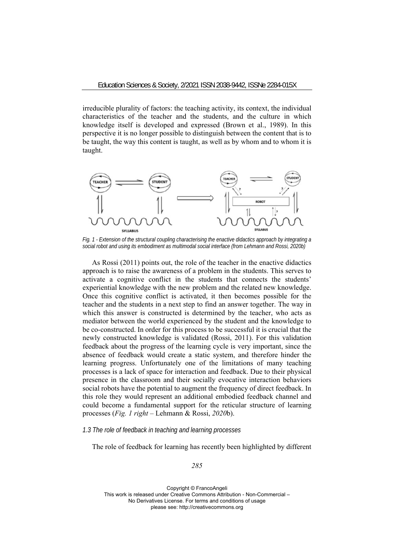irreducible plurality of factors: the teaching activity, its context, the individual characteristics of the teacher and the students, and the culture in which knowledge itself is developed and expressed (Brown et al., 1989). In this perspective it is no longer possible to distinguish between the content that is to be taught, the way this content is taught, as well as by whom and to whom it is taught.



*Fig. 1 - Extension of the structural coupling characterising the enactive didactics approach by integrating a social robot and using its embodiment as multimodal social interface (from Lehmann and Rossi, 2020b)* 

As Rossi (2011) points out, the role of the teacher in the enactive didactics approach is to raise the awareness of a problem in the students. This serves to activate a cognitive conflict in the students that connects the students' experiential knowledge with the new problem and the related new knowledge. Once this cognitive conflict is activated, it then becomes possible for the teacher and the students in a next step to find an answer together. The way in which this answer is constructed is determined by the teacher, who acts as mediator between the world experienced by the student and the knowledge to be co-constructed. In order for this process to be successful it is crucial that the newly constructed knowledge is validated (Rossi, 2011). For this validation feedback about the progress of the learning cycle is very important, since the absence of feedback would create a static system, and therefore hinder the learning progress. Unfortunately one of the limitations of many teaching processes is a lack of space for interaction and feedback. Due to their physical presence in the classroom and their socially evocative interaction behaviors social robots have the potential to augment the frequency of direct feedback. In this role they would represent an additional embodied feedback channel and could become a fundamental support for the reticular structure of learning processes (*Fig. 1 right –* Lehmann & Rossi, *2020*b).

### *1.3 The role of feedback in teaching and learning processes*

The role of feedback for learning has recently been highlighted by different

*285*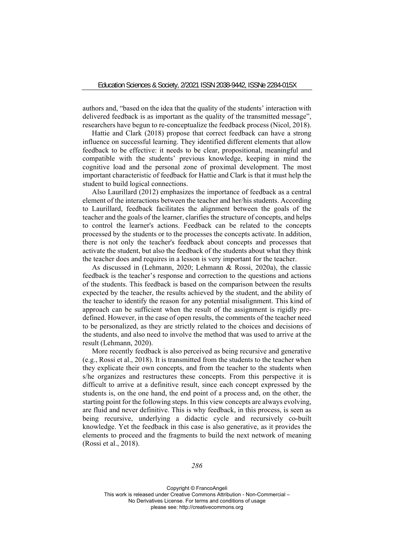authors and, "based on the idea that the quality of the students' interaction with delivered feedback is as important as the quality of the transmitted message", researchers have begun to re-conceptualize the feedback process (Nicol, 2018).

Hattie and Clark (2018) propose that correct feedback can have a strong influence on successful learning. They identified different elements that allow feedback to be effective: it needs to be clear, propositional, meaningful and compatible with the students' previous knowledge, keeping in mind the cognitive load and the personal zone of proximal development. The most important characteristic of feedback for Hattie and Clark is that it must help the student to build logical connections.

Also Laurillard (2012) emphasizes the importance of feedback as a central element of the interactions between the teacher and her/his students. According to Laurillard, feedback facilitates the alignment between the goals of the teacher and the goals of the learner, clarifies the structure of concepts, and helps to control the learner's actions. Feedback can be related to the concepts processed by the students or to the processes the concepts activate. In addition, there is not only the teacher's feedback about concepts and processes that activate the student, but also the feedback of the students about what they think the teacher does and requires in a lesson is very important for the teacher.

As discussed in (Lehmann, 2020; Lehmann & Rossi, 2020a), the classic feedback is the teacher's response and correction to the questions and actions of the students. This feedback is based on the comparison between the results expected by the teacher, the results achieved by the student, and the ability of the teacher to identify the reason for any potential misalignment. This kind of approach can be sufficient when the result of the assignment is rigidly predefined. However, in the case of open results, the comments of the teacher need to be personalized, as they are strictly related to the choices and decisions of the students, and also need to involve the method that was used to arrive at the result (Lehmann, 2020).

More recently feedback is also perceived as being recursive and generative (e.g., Rossi et al., 2018). It is transmitted from the students to the teacher when they explicate their own concepts, and from the teacher to the students when s/he organizes and restructures these concepts. From this perspective it is difficult to arrive at a definitive result, since each concept expressed by the students is, on the one hand, the end point of a process and, on the other, the starting point for the following steps. In this view concepts are always evolving, are fluid and never definitive. This is why feedback, in this process, is seen as being recursive, underlying a didactic cycle and recursively co-built knowledge. Yet the feedback in this case is also generative, as it provides the elements to proceed and the fragments to build the next network of meaning (Rossi et al., 2018).

*286*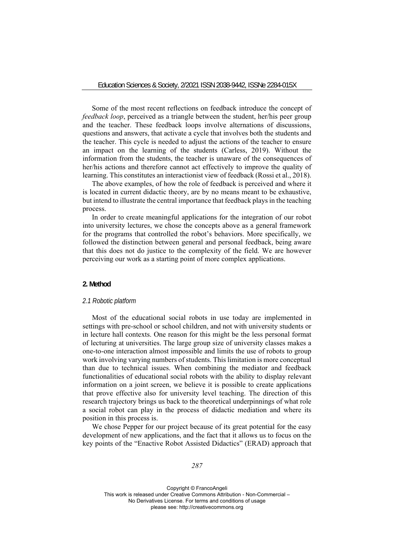Some of the most recent reflections on feedback introduce the concept of *feedback loop*, perceived as a triangle between the student, her/his peer group and the teacher. These feedback loops involve alternations of discussions, questions and answers, that activate a cycle that involves both the students and the teacher. This cycle is needed to adjust the actions of the teacher to ensure an impact on the learning of the students (Carless, 2019). Without the information from the students, the teacher is unaware of the consequences of her/his actions and therefore cannot act effectively to improve the quality of learning. This constitutes an interactionist view of feedback (Rossi et al., 2018).

The above examples, of how the role of feedback is perceived and where it is located in current didactic theory, are by no means meant to be exhaustive, but intend to illustrate the central importance that feedback plays in the teaching process.

In order to create meaningful applications for the integration of our robot into university lectures, we chose the concepts above as a general framework for the programs that controlled the robot's behaviors. More specifically, we followed the distinction between general and personal feedback, being aware that this does not do justice to the complexity of the field. We are however perceiving our work as a starting point of more complex applications.

#### **2. Method**

## *2.1 Robotic platform*

Most of the educational social robots in use today are implemented in settings with pre-school or school children, and not with university students or in lecture hall contexts. One reason for this might be the less personal format of lecturing at universities. The large group size of university classes makes a one-to-one interaction almost impossible and limits the use of robots to group work involving varying numbers of students. This limitation is more conceptual than due to technical issues. When combining the mediator and feedback functionalities of educational social robots with the ability to display relevant information on a joint screen, we believe it is possible to create applications that prove effective also for university level teaching. The direction of this research trajectory brings us back to the theoretical underpinnings of what role a social robot can play in the process of didactic mediation and where its position in this process is.

We chose Pepper for our project because of its great potential for the easy development of new applications, and the fact that it allows us to focus on the key points of the "Enactive Robot Assisted Didactics" (ERAD) approach that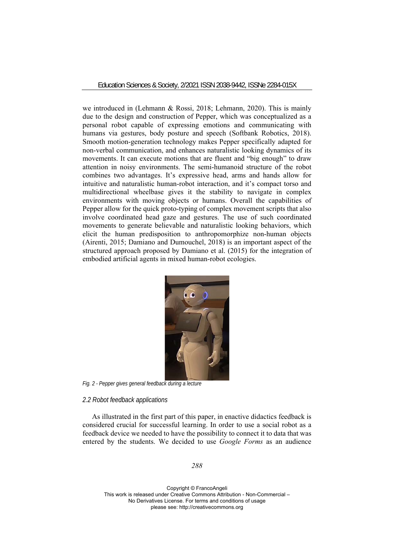we introduced in (Lehmann & Rossi, 2018; Lehmann, 2020). This is mainly due to the design and construction of Pepper, which was conceptualized as a personal robot capable of expressing emotions and communicating with humans via gestures, body posture and speech (Softbank Robotics, 2018). Smooth motion-generation technology makes Pepper specifically adapted for non-verbal communication, and enhances naturalistic looking dynamics of its movements. It can execute motions that are fluent and "big enough" to draw attention in noisy environments. The semi-humanoid structure of the robot combines two advantages. It's expressive head, arms and hands allow for intuitive and naturalistic human-robot interaction, and it's compact torso and multidirectional wheelbase gives it the stability to navigate in complex environments with moving objects or humans. Overall the capabilities of Pepper allow for the quick proto-typing of complex movement scripts that also involve coordinated head gaze and gestures. The use of such coordinated movements to generate believable and naturalistic looking behaviors, which elicit the human predisposition to anthropomorphize non-human objects (Airenti, 2015; Damiano and Dumouchel, 2018) is an important aspect of the structured approach proposed by Damiano et al. (2015) for the integration of embodied artificial agents in mixed human-robot ecologies.



*Fig. 2 - Pepper gives general feedback during a lecture* 

#### *2.2 Robot feedback applications*

As illustrated in the first part of this paper, in enactive didactics feedback is considered crucial for successful learning. In order to use a social robot as a feedback device we needed to have the possibility to connect it to data that was entered by the students. We decided to use *Google Forms* as an audience

*288*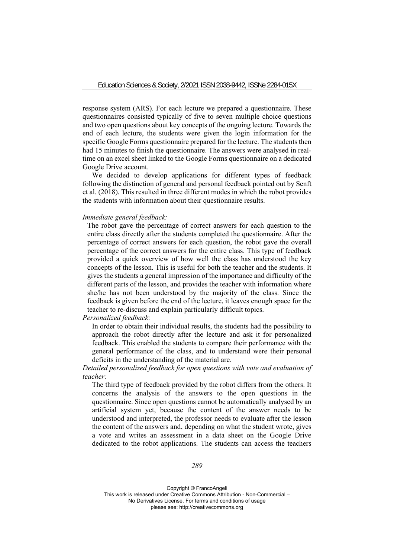response system (ARS). For each lecture we prepared a questionnaire. These questionnaires consisted typically of five to seven multiple choice questions and two open questions about key concepts of the ongoing lecture. Towards the end of each lecture, the students were given the login information for the specific Google Forms questionnaire prepared for the lecture. The students then had 15 minutes to finish the questionnaire. The answers were analysed in realtime on an excel sheet linked to the Google Forms questionnaire on a dedicated Google Drive account.

We decided to develop applications for different types of feedback following the distinction of general and personal feedback pointed out by Senft et al. (2018). This resulted in three different modes in which the robot provides the students with information about their questionnaire results.

#### *Immediate general feedback:*

The robot gave the percentage of correct answers for each question to the entire class directly after the students completed the questionnaire. After the percentage of correct answers for each question, the robot gave the overall percentage of the correct answers for the entire class. This type of feedback provided a quick overview of how well the class has understood the key concepts of the lesson. This is useful for both the teacher and the students. It gives the students a general impression of the importance and difficulty of the different parts of the lesson, and provides the teacher with information where she/he has not been understood by the majority of the class. Since the feedback is given before the end of the lecture, it leaves enough space for the teacher to re-discuss and explain particularly difficult topics.

*Personalized feedback:* 

In order to obtain their individual results, the students had the possibility to approach the robot directly after the lecture and ask it for personalized feedback. This enabled the students to compare their performance with the general performance of the class, and to understand were their personal deficits in the understanding of the material are.

*Detailed personalized feedback for open questions with vote and evaluation of teacher:* 

The third type of feedback provided by the robot differs from the others. It concerns the analysis of the answers to the open questions in the questionnaire. Since open questions cannot be automatically analysed by an artificial system yet, because the content of the answer needs to be understood and interpreted, the professor needs to evaluate after the lesson the content of the answers and, depending on what the student wrote, gives a vote and writes an assessment in a data sheet on the Google Drive dedicated to the robot applications. The students can access the teachers

*289*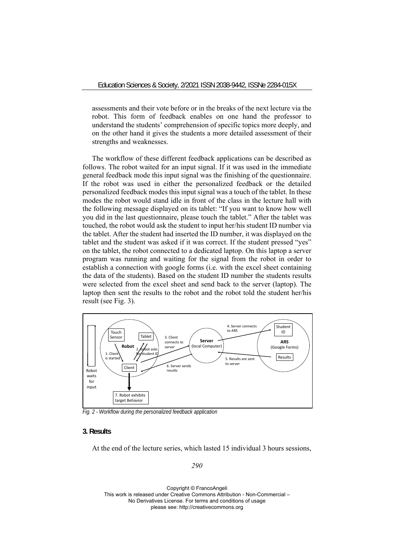assessments and their vote before or in the breaks of the next lecture via the robot. This form of feedback enables on one hand the professor to understand the students' comprehension of specific topics more deeply, and on the other hand it gives the students a more detailed assessment of their strengths and weaknesses.

The workflow of these different feedback applications can be described as follows. The robot waited for an input signal. If it was used in the immediate general feedback mode this input signal was the finishing of the questionnaire. If the robot was used in either the personalized feedback or the detailed personalized feedback modes this input signal was a touch of the tablet. In these modes the robot would stand idle in front of the class in the lecture hall with the following message displayed on its tablet: "If you want to know how well you did in the last questionnaire, please touch the tablet." After the tablet was touched, the robot would ask the student to input her/his student ID number via the tablet. After the student had inserted the ID number, it was displayed on the tablet and the student was asked if it was correct. If the student pressed "yes" on the tablet, the robot connected to a dedicated laptop. On this laptop a server program was running and waiting for the signal from the robot in order to establish a connection with google forms (i.e. with the excel sheet containing the data of the students). Based on the student ID number the students results were selected from the excel sheet and send back to the server (laptop). The laptop then sent the results to the robot and the robot told the student her/his result (see Fig. 3).



*Fig. 2 - Workflow during the personalized feedback application* 

# **3. Results**

At the end of the lecture series, which lasted 15 individual 3 hours sessions,

*290*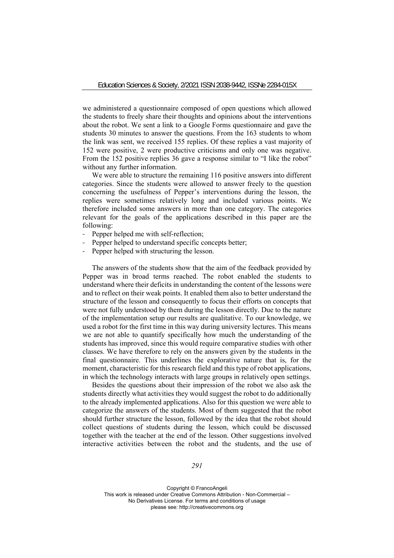we administered a questionnaire composed of open questions which allowed the students to freely share their thoughts and opinions about the interventions about the robot. We sent a link to a Google Forms questionnaire and gave the students 30 minutes to answer the questions. From the 163 students to whom the link was sent, we received 155 replies. Of these replies a vast majority of 152 were positive, 2 were productive criticisms and only one was negative. From the 152 positive replies 36 gave a response similar to "I like the robot" without any further information.

We were able to structure the remaining 116 positive answers into different categories. Since the students were allowed to answer freely to the question concerning the usefulness of Pepper's interventions during the lesson, the replies were sometimes relatively long and included various points. We therefore included some answers in more than one category. The categories relevant for the goals of the applications described in this paper are the following:

- ‐ Pepper helped me with self-reflection;
- ‐ Pepper helped to understand specific concepts better;
- Pepper helped with structuring the lesson.

The answers of the students show that the aim of the feedback provided by Pepper was in broad terms reached. The robot enabled the students to understand where their deficits in understanding the content of the lessons were and to reflect on their weak points. It enabled them also to better understand the structure of the lesson and consequently to focus their efforts on concepts that were not fully understood by them during the lesson directly. Due to the nature of the implementation setup our results are qualitative. To our knowledge, we used a robot for the first time in this way during university lectures. This means we are not able to quantify specifically how much the understanding of the students has improved, since this would require comparative studies with other classes. We have therefore to rely on the answers given by the students in the final questionnaire. This underlines the explorative nature that is, for the moment, characteristic for this research field and this type of robot applications, in which the technology interacts with large groups in relatively open settings.

Besides the questions about their impression of the robot we also ask the students directly what activities they would suggest the robot to do additionally to the already implemented applications. Also for this question we were able to categorize the answers of the students. Most of them suggested that the robot should further structure the lesson, followed by the idea that the robot should collect questions of students during the lesson, which could be discussed together with the teacher at the end of the lesson. Other suggestions involved interactive activities between the robot and the students, and the use of

*291*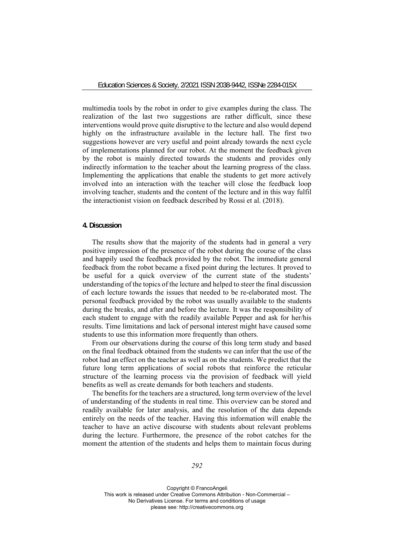multimedia tools by the robot in order to give examples during the class. The realization of the last two suggestions are rather difficult, since these interventions would prove quite disruptive to the lecture and also would depend highly on the infrastructure available in the lecture hall. The first two suggestions however are very useful and point already towards the next cycle of implementations planned for our robot. At the moment the feedback given by the robot is mainly directed towards the students and provides only indirectly information to the teacher about the learning progress of the class. Implementing the applications that enable the students to get more actively involved into an interaction with the teacher will close the feedback loop involving teacher, students and the content of the lecture and in this way fulfil the interactionist vision on feedback described by Rossi et al. (2018).

# **4. Discussion**

The results show that the majority of the students had in general a very positive impression of the presence of the robot during the course of the class and happily used the feedback provided by the robot. The immediate general feedback from the robot became a fixed point during the lectures. It proved to be useful for a quick overview of the current state of the students' understanding of the topics of the lecture and helped to steer the final discussion of each lecture towards the issues that needed to be re-elaborated most. The personal feedback provided by the robot was usually available to the students during the breaks, and after and before the lecture. It was the responsibility of each student to engage with the readily available Pepper and ask for her/his results. Time limitations and lack of personal interest might have caused some students to use this information more frequently than others.

From our observations during the course of this long term study and based on the final feedback obtained from the students we can infer that the use of the robot had an effect on the teacher as well as on the students. We predict that the future long term applications of social robots that reinforce the reticular structure of the learning process via the provision of feedback will yield benefits as well as create demands for both teachers and students.

The benefits for the teachers are a structured, long term overview of the level of understanding of the students in real time. This overview can be stored and readily available for later analysis, and the resolution of the data depends entirely on the needs of the teacher. Having this information will enable the teacher to have an active discourse with students about relevant problems during the lecture. Furthermore, the presence of the robot catches for the moment the attention of the students and helps them to maintain focus during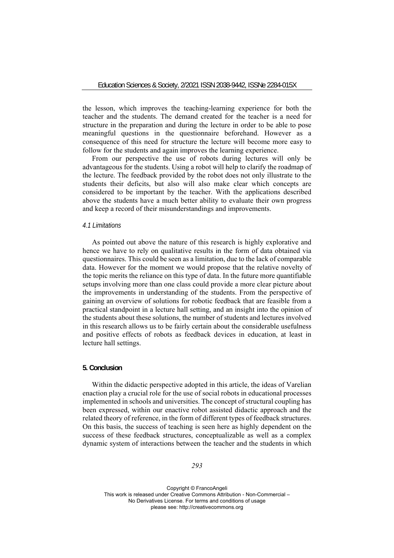the lesson, which improves the teaching-learning experience for both the teacher and the students. The demand created for the teacher is a need for structure in the preparation and during the lecture in order to be able to pose meaningful questions in the questionnaire beforehand. However as a consequence of this need for structure the lecture will become more easy to follow for the students and again improves the learning experience.

From our perspective the use of robots during lectures will only be advantageous for the students. Using a robot will help to clarify the roadmap of the lecture. The feedback provided by the robot does not only illustrate to the students their deficits, but also will also make clear which concepts are considered to be important by the teacher. With the applications described above the students have a much better ability to evaluate their own progress and keep a record of their misunderstandings and improvements.

#### *4.1 Limitations*

As pointed out above the nature of this research is highly explorative and hence we have to rely on qualitative results in the form of data obtained via questionnaires. This could be seen as a limitation, due to the lack of comparable data. However for the moment we would propose that the relative novelty of the topic merits the reliance on this type of data. In the future more quantifiable setups involving more than one class could provide a more clear picture about the improvements in understanding of the students. From the perspective of gaining an overview of solutions for robotic feedback that are feasible from a practical standpoint in a lecture hall setting, and an insight into the opinion of the students about these solutions, the number of students and lectures involved in this research allows us to be fairly certain about the considerable usefulness and positive effects of robots as feedback devices in education, at least in lecture hall settings.

### **5. Conclusion**

Within the didactic perspective adopted in this article, the ideas of Varelian enaction play a crucial role for the use of social robots in educational processes implemented in schools and universities. The concept of structural coupling has been expressed, within our enactive robot assisted didactic approach and the related theory of reference, in the form of different types of feedback structures. On this basis, the success of teaching is seen here as highly dependent on the success of these feedback structures, conceptualizable as well as a complex dynamic system of interactions between the teacher and the students in which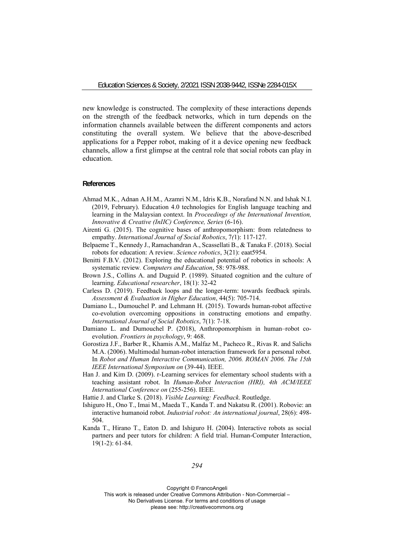new knowledge is constructed. The complexity of these interactions depends on the strength of the feedback networks, which in turn depends on the information channels available between the different components and actors constituting the overall system. We believe that the above-described applications for a Pepper robot, making of it a device opening new feedback channels, allow a first glimpse at the central role that social robots can play in education.

### **References**

- Ahmad M.K., Adnan A.H.M., Azamri N.M., Idris K.B., Norafand N.N. and Ishak N.I. (2019, February). Education 4.0 technologies for English language teaching and learning in the Malaysian context. In *Proceedings of the International Invention, Innovative & Creative (InIIC) Conference, Series* (6-16).
- Airenti G. (2015). The cognitive bases of anthropomorphism: from relatedness to empathy. *International Journal of Social Robotics*, 7*(*1): 117-127.
- Belpaeme T., Kennedy J., Ramachandran A., Scassellati B., & Tanaka F. (2018). Social robots for education: A review. *Science robotics*, 3(21): eaat5954.
- Benitti F.B.V. (2012). Exploring the educational potential of robotics in schools: A systematic review*. Computers and Education*, 58: 978-988.
- Brown J.S., Collins A. and Duguid P. (1989). Situated cognition and the culture of learning. *Educational researcher*, 18(1): 32-42
- Carless D. (2019). Feedback loops and the longer-term: towards feedback spirals. *Assessment & Evaluation in Higher Education*, 44(5): 705-714.
- Damiano L., Dumouchel P. and Lehmann H. (2015). Towards human-robot affective co-evolution overcoming oppositions in constructing emotions and empathy. *International Journal of Social Robotics*, 7(1): 7-18.
- Damiano L. and Dumouchel P. (2018), Anthropomorphism in human–robot coevolution. *Frontiers in psychology*, 9: 468.
- Gorostiza J.F., Barber R., Khamis A.M., Malfaz M., Pacheco R., Rivas R. and Salichs M.A. (2006). Multimodal human-robot interaction framework for a personal robot. In *Robot and Human Interactive Communication, 2006. ROMAN 2006. The 15th IEEE International Symposium on* (39-44). IEEE.
- Han J. and Kim D. (2009). r-Learning services for elementary school students with a teaching assistant robot. In *Human-Robot Interaction (HRI), 4th ACM/IEEE International Conference on* (255-256). IEEE.
- Hattie J. and Clarke S. (2018). *Visible Learning: Feedback*. Routledge.
- Ishiguro H., Ono T., Imai M., Maeda T., Kanda T. and Nakatsu R. (2001). Robovie: an interactive humanoid robot. *Industrial robot: An international journal*, 28(6): 498- 504.
- Kanda T., Hirano T., Eaton D. and Ishiguro H. (2004). Interactive robots as social partners and peer tutors for children: A field trial. Human-Computer Interaction, 19(1-2): 61-84.

#### *294*